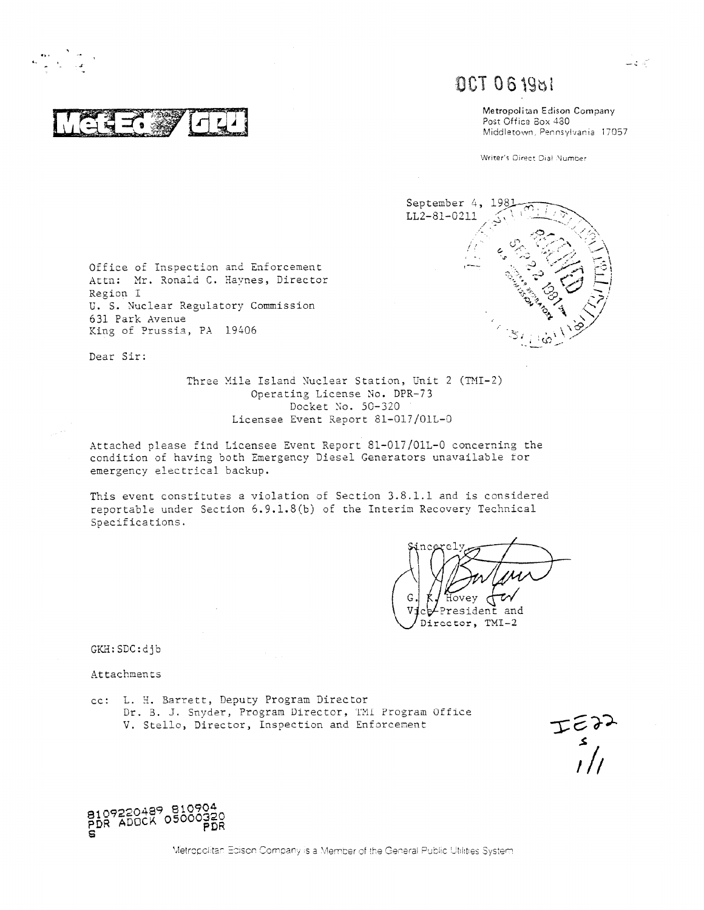**,**

 $T \sim 2 - 1$  $\mathcal{F}$   $\mathcal{F}$   $\mathcal{F}$   $\mathcal{F}$   $\mathcal{F}$   $\mathcal{F}$   $\mathcal{F}$   $\mathcal{F}$  and  $\mathcal{F}$  and  $\mathcal{F}$  and  $\mathcal{F}$  and  $\mathcal{F}$  and  $\mathcal{F}$  and  $\mathcal{F}$  and  $\mathcal{F}$  and  $\mathcal{F}$  and  $\mathcal{F}$  and  $\mathcal{F}$  and  $\mathcal{F}$  and  $\$ 

# **<sup>E</sup><sup>l</sup>** 7 .

Metropolitan Edison Company , Middletown, Pennsylvania 17057

Writer's Direct Dial Number



Region I U. S. Nuclear Regulatory Commission 631 Park Avenue King of Prussia , PA 19406

Office of Inspection and Enforcement Attn: Mr. Ronald C. Havnes , Director

Dear Sir:

Three Mile Island Nuclear Station, Unit 2 (TMI-2) Operating License No. DPR-73 Docket No. 50-320 Licensee Event Report 81-017/01L-0

Attached please find Licensee Event Report 81-017/01L-0 concerning the condition of having both Emergency Diesel Generators unavailable tor emergency electrical backup.

This event constitutes a violation of Section 3.8.1.1 and is considered reportable under Section 6.9.1.8(b) of the Interim Recovery Technical Specifications.

U . vey Ţ President and Director, TMI-2

GKH:SDC:djb

Attachmen ts

cc: L. H. Barrett, Deputy Program Director Dr. B. J. Snyder, Program Director, TMI Program Office V. Stello, Director, Inspection and Enforcement



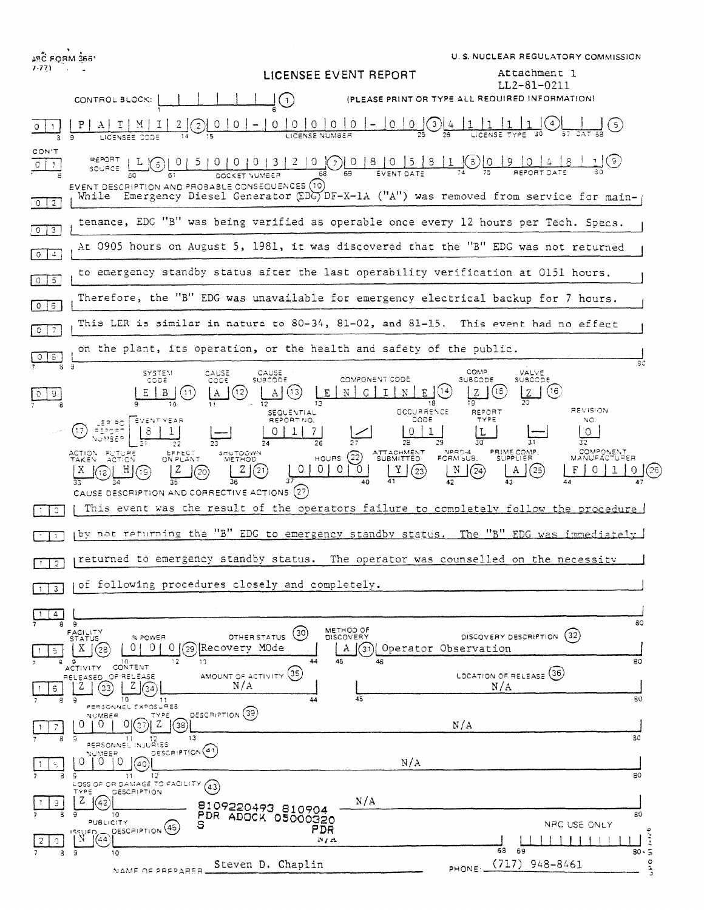| <b>SC FORM 366'</b><br>$7-77$ | LICENSEE EVENT REPORT                                                                                                                                                                                                                       | U.S. NUCLEAR REGULATORY COMMISSION<br>Attachment 1                                                    |
|-------------------------------|---------------------------------------------------------------------------------------------------------------------------------------------------------------------------------------------------------------------------------------------|-------------------------------------------------------------------------------------------------------|
|                               | CONTROL BLOCK:<br>(1)                                                                                                                                                                                                                       | LL2-81-0211<br>(PLEASE PRINT OR TYPE ALL REQUIRED INFORMATION)                                        |
|                               | 0   0<br>$\circ$<br>$\overline{O}$<br>$\begin{array}{c} 0 \\ 0 \end{array}$<br>0<br>$\left(3\right)$                                                                                                                                        |                                                                                                       |
| CON'T                         | $L(\mathfrak{s})$                                                                                                                                                                                                                           | ( ၁ )                                                                                                 |
| $0 \mid 2$                    | EVENT DESCRIPTION AND PROBABLE CONSEQUENCES (10)<br>While Emergency Diesel Generator (EDG) DF-X-1A ("A") was removed from service for main-                                                                                                 |                                                                                                       |
| $\boxed{0}$ $\boxed{3}$       | tenance, EDG "B" was being verified as operable once every 12 hours per Tech. Specs.                                                                                                                                                        |                                                                                                       |
| 0   1                         | At 0905 hours on August 5, 1981, it was discovered that the "B" EDG was not returned                                                                                                                                                        |                                                                                                       |
| $0$ $\sqrt{5}$                | to emergency standby status after the last operability verification at 0151 hours.                                                                                                                                                          |                                                                                                       |
| $0 \mid 6$                    | Therefore, the "B" EDG was unavailable for emergency electrical backup for 7 hours.                                                                                                                                                         |                                                                                                       |
| $Q$ $7$                       | This LER is similar in nature to 80-34, 81-02, and 81-15. This event had no effect                                                                                                                                                          |                                                                                                       |
| 0  8<br>8.                    | on the plant, its operation, or the health and safety of the public.<br>-9                                                                                                                                                                  | sc                                                                                                    |
| 9                             | SYSTEM<br>CAUSE<br>CAUSE<br>COMPONENT CODE<br>CODE<br><b>SUBCOO</b><br>anns.<br>(14<br>(13)<br>(12)<br>E<br>G<br>T<br>N<br>N<br>$\mathbf{A}$                                                                                                | COMP<br>VALVE<br><b>SUBCODE</b><br><b>SUBCODE</b><br>(15<br>(16)<br>Ζ<br>Z                            |
|                               | OCCURRENCE<br><b>SEQUENTIAL</b><br>CODE<br>REPORT NO.<br>EVENT YEAR<br>್ಕಾ ಕಲ<br>agegar<br>$\Omega$<br>28                                                                                                                                   | <b>REVISION</b><br>REPORT<br><b>TYPE</b><br>NO.<br>$\Omega$<br>32                                     |
|                               | ATTACHMENT<br>ACTION FUTURE<br>TAKEN ACTION<br>EFFECT<br>ON PLANT<br>SHUTOOWN<br>METHOO<br>(22)<br><b>HOURS</b><br>$\circ$<br>0<br>0<br>z<br>Y<br>(21)<br>(23)<br>(20)<br>[19]<br>13<br>40<br>CAUSE DESCRIPTION AND CORRECTIVE ACTIONS (27) | NPRO-4<br>FORM SUB.<br>PRIME COMP.<br>SUPPLIER<br>COMPONENT<br>MANUFACTURER<br>$^{(25)}$<br>(24)<br>A |
| $\circ$                       | This event was the result of the operators failure to completely follow the procedure                                                                                                                                                       |                                                                                                       |
|                               | by not returning the "B" EDG to emergency standby status. The "B" EDG was immediately                                                                                                                                                       |                                                                                                       |
| $\overline{2}$                | returned to emergency standby status.                                                                                                                                                                                                       | The operator was counselled on the necessity                                                          |
| 3                             | of following procedures closely and completely.                                                                                                                                                                                             |                                                                                                       |
| 4<br>8                        | -9                                                                                                                                                                                                                                          | 80                                                                                                    |
| 5.                            | METHOD OF<br>FACILITY<br>STATUS<br>(30)<br>OTHER STATUS<br><b>DISCOVERY</b><br>% POWER<br>0 I<br>29 Recovery MOde<br>01<br>0<br>(31) Operator Observation<br>Χ<br>А<br>(28<br>44<br>45<br>46<br>13                                          | (32)<br>DISCOVERY DESCRIPTION<br>80                                                                   |
| 6<br>з                        | CONTENT<br><b>ACTIVITY</b><br>AMOUNT OF ACTIVITY (35)<br>RELEASED OF RELEASE<br>N/A<br>Z<br>Z<br>33<br>45<br>10<br>44<br>9<br>11                                                                                                            | LOCATION OF RELEASE (36)<br>N/A<br>30                                                                 |
| 7<br>8                        | PERSONNEL EXPOSURES<br>DESCRIPTION (39)<br>TYPE<br><b>NUMBER</b><br>$^{(1)}$<br>0<br>0<br>38<br>13<br>Э<br>11<br>12                                                                                                                         | N/A<br>30                                                                                             |
|                               | PERSONNEL INJURIES<br>DESCRIPTION <sup>(41)</sup><br>NUMBER<br>0.<br>0<br>0<br>N/A<br>$40^{\circ}$                                                                                                                                          |                                                                                                       |
|                               | -12<br>9<br>$\overline{11}$<br>LOSS OF OR DAMAGE TO FACILITY (43)<br><b>DESCRIPTION</b><br><b>TYPE</b>                                                                                                                                      | 80                                                                                                    |
| 9.                            | z<br>N/A<br>(42)<br>8109220493 810904<br>10<br>PDR ADOCK 05000320<br>PUBLICITY<br>s                                                                                                                                                         | 80<br>NRC USE ONLY                                                                                    |
|                               | DESCRIPTION (45)<br>PDR<br>ISSUED.<br> (44)<br>N/A<br>Э<br>10                                                                                                                                                                               | $\tilde{\mathcal{L}}$<br>68<br>69<br>$30 - 5$                                                         |
|                               | Steven D. Chaplin<br>NAME OF PREPARER                                                                                                                                                                                                       | o de<br>$(717)$ 948-8461<br>PHONE:                                                                    |